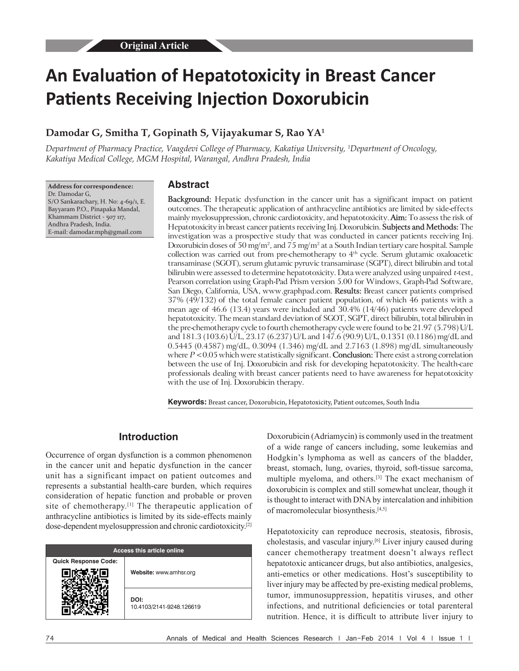# **An Evaluation of Hepatotoxicity in Breast Cancer Patients Receiving Injection Doxorubicin**

# **Damodar G, Smitha T, Gopinath S, Vijayakumar S, Rao YA<sup>1</sup>**

*Department of Pharmacy Practice, Vaagdevi College of Pharmacy, Kakatiya University, 1 Department of Oncology, Kakatiya Medical College, MGM Hospital, Warangal, Andhra Pradesh, India*

**Address for correspondence:** Dr. Damodar G, S/O Sankarachary, H. No: 4‑69/1, E. Bayyaram P.O., Pinapaka Mandal, Khammam District - 507 117, Andhra Pradesh, India. E‑mail: damodar.mph@gmail.com

#### **Abstract**

**Background:** Hepatic dysfunction in the cancer unit has a significant impact on patient outcomes. The therapeutic application of anthracycline antibiotics are limited by side‑effects mainly myelosuppression, chronic cardiotoxicity, and hepatotoxicity. **Aim:** To assess the risk of Hepatotoxicity in breast cancer patients receiving Inj. Doxorubicin. **Subjects and Methods:** The investigation was a prospective study that was conducted in cancer patients receiving Inj. Doxorubicin doses of 50 mg/m<sup>2</sup>, and 75 mg/m<sup>2</sup> at a South Indian tertiary care hospital. Sample collection was carried out from pre-chemotherapy to  $4<sup>th</sup>$  cycle. Serum glutamic oxaloacetic transaminase (SGOT), serum glutamic pyruvic transaminase (SGPT), direct bilirubin and total bilirubin were assessed to determine hepatotoxicity. Data were analyzed using unpaired *t*-test, Pearson correlation using Graph-Pad Prism version 5.00 for Windows, Graph-Pad Software, San Diego, California, USA, www.graphpad.com. **Results:** Breast cancer patients comprised 37% (49/132) of the total female cancer patient population, of which 46 patients with a mean age of 46.6 (13.4) years were included and 30.4% (14/46) patients were developed hepatotoxicity. The mean standard deviation of SGOT, SGPT, direct bilirubin, total bilirubin in the pre‑chemotherapy cycle to fourth chemotherapy cycle were found to be 21.97 (5.798) U/L and 181.3 (103.6) U/L, 23.17 (6.237) U/L and 147.6 (90.9) U/L, 0.1351 (0.1186) mg/dL and 0.5445 (0.4587) mg/dL, 0.3094 (1.346) mg/dL and 2.7163 (1.898) mg/dL simultaneously where *P* < 0.05 which were statistically significant. **Conclusion:** There exist a strong correlation between the use of Inj. Doxorubicin and risk for developing hepatotoxicity. The health-care professionals dealing with breast cancer patients need to have awareness for hepatotoxicity with the use of Inj. Doxorubicin therapy.

**Keywords:** Breast cancer, Doxorubicin, Hepatotoxicity, Patient outcomes, South India

# **Introduction**

Occurrence of organ dysfunction is a common phenomenon in the cancer unit and hepatic dysfunction in the cancer unit has a significant impact on patient outcomes and represents a substantial health-care burden, which requires consideration of hepatic function and probable or proven site of chemotherapy.<sup>[1]</sup> The therapeutic application of anthracycline antibiotics is limited by its side-effects mainly dose-dependent myelosuppression and chronic cardiotoxicity.[2]

| <b>Access this article online</b> |                                  |  |  |  |
|-----------------------------------|----------------------------------|--|--|--|
| <b>Quick Response Code:</b>       | Website: www.amhsr.org           |  |  |  |
|                                   | DOI:<br>10.4103/2141-9248.126619 |  |  |  |

Doxorubicin (Adriamycin) is commonly used in the treatment of a wide range of cancers including, some leukemias and Hodgkin's lymphoma as well as cancers of the bladder, breast, stomach, lung, ovaries, thyroid, soft-tissue sarcoma, multiple myeloma, and others.<sup>[3]</sup> The exact mechanism of doxorubicin is complex and still somewhat unclear, though it is thought to interact with DNA by intercalation and inhibition of macromolecular biosynthesis.[4,5]

Hepatotoxicity can reproduce necrosis, steatosis, fibrosis, cholestasis, and vascular injury.[6] Liver injury caused during cancer chemotherapy treatment doesn't always reflect hepatotoxic anticancer drugs, but also antibiotics, analgesics, anti-emetics or other medications. Host's susceptibility to liver injury may be affected by pre-existing medical problems, tumor, immunosuppression, hepatitis viruses, and other infections, and nutritional deficiencies or total parenteral nutrition. Hence, it is difficult to attribute liver injury to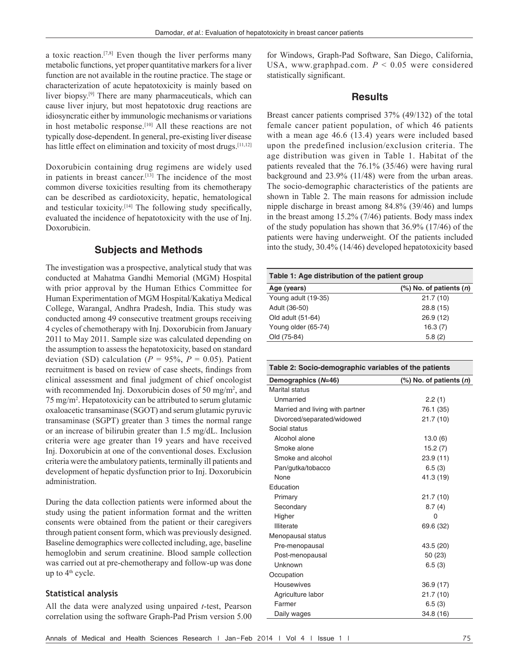a toxic reaction.[7,8] Even though the liver performs many metabolic functions, yet proper quantitative markers for a liver function are not available in the routine practice. The stage or characterization of acute hepatotoxicity is mainly based on liver biopsy.<sup>[9]</sup> There are many pharmaceuticals, which can cause liver injury, but most hepatotoxic drug reactions are idiosyncratic either by immunologic mechanisms or variations in host metabolic response.<sup>[10]</sup> All these reactions are not typically dose-dependent. In general, pre-existing liver disease has little effect on elimination and toxicity of most drugs.<sup>[11,12]</sup>

Doxorubicin containing drug regimens are widely used in patients in breast cancer.[13] The incidence of the most common diverse toxicities resulting from its chemotherapy can be described as cardiotoxicity, hepatic, hematological and testicular toxicity.[14] The following study specifically, evaluated the incidence of hepatotoxicity with the use of Inj. Doxorubicin.

# **Subjects and Methods**

The investigation was a prospective, analytical study that was conducted at Mahatma Gandhi Memorial (MGM) Hospital with prior approval by the Human Ethics Committee for Human Experimentation of MGM Hospital/Kakatiya Medical College, Warangal, Andhra Pradesh, India. This study was conducted among 49 consecutive treatment groups receiving 4 cycles of chemotherapy with Inj. Doxorubicin from January 2011 to May 2011. Sample size was calculated depending on the assumption to assess the hepatotoxicity, based on standard deviation (SD) calculation ( $P = 95\%$ ,  $P = 0.05$ ). Patient recruitment is based on review of case sheets, findings from clinical assessment and final judgment of chief oncologist with recommended Inj. Doxorubicin doses of 50 mg/m<sup>2</sup>, and 75 mg/m2 . Hepatotoxicity can be attributed to serum glutamic oxaloacetic transaminase (SGOT) and serum glutamic pyruvic transaminase (SGPT) greater than 3 times the normal range or an increase of bilirubin greater than 1.5 mg/dL. Inclusion criteria were age greater than 19 years and have received Inj. Doxorubicin at one of the conventional doses. Exclusion criteria were the ambulatory patients, terminally ill patients and development of hepatic dysfunction prior to Inj. Doxorubicin administration.

During the data collection patients were informed about the study using the patient information format and the written consents were obtained from the patient or their caregivers through patient consent form, which was previously designed. Baseline demographics were collected including, age, baseline hemoglobin and serum creatinine. Blood sample collection was carried out at pre-chemotherapy and follow-up was done up to 4<sup>th</sup> cycle.

## **Statistical analysis**

All the data were analyzed using unpaired *t*-test, Pearson correlation using the software Graph-Pad Prism version 5.00 for Windows, Graph-Pad Software, San Diego, California, USA, www.graphpad.com. *P* < 0.05 were considered statistically significant.

# **Results**

Breast cancer patients comprised 37% (49/132) of the total female cancer patient population, of which 46 patients with a mean age 46.6 (13.4) years were included based upon the predefined inclusion/exclusion criteria. The age distribution was given in Table 1. Habitat of the patients revealed that the 76.1% (35/46) were having rural background and 23.9% (11/48) were from the urban areas. The socio-demographic characteristics of the patients are shown in Table 2. The main reasons for admission include nipple discharge in breast among 84.8% (39/46) and lumps in the breast among 15.2% (7/46) patients. Body mass index of the study population has shown that 36.9% (17/46) of the patients were having underweight. Of the patients included into the study, 30.4% (14/46) developed hepatotoxicity based

| Table 1: Age distribution of the patient group |                              |  |  |  |
|------------------------------------------------|------------------------------|--|--|--|
| Age (years)                                    | $(\%)$ No. of patients $(n)$ |  |  |  |
| Young adult (19-35)                            | 21.7(10)                     |  |  |  |
| Adult (36-50)                                  | 28.8(15)                     |  |  |  |
| Old adult (51-64)                              | 26.9(12)                     |  |  |  |
| Young older (65-74)                            | 16.3(7)                      |  |  |  |
| Old (75-84)                                    | 5.8(2)                       |  |  |  |

| Table 2: Socio-demographic variables of the patients |  |
|------------------------------------------------------|--|
|                                                      |  |

| Demographics (N=46)             | $(\%)$ No. of patients $(n)$ |  |  |
|---------------------------------|------------------------------|--|--|
| <b>Marital status</b>           |                              |  |  |
| Unmarried                       | 2.2(1)                       |  |  |
| Married and living with partner | 76.1 (35)                    |  |  |
| Divorced/separated/widowed      | 21.7 (10)                    |  |  |
| Social status                   |                              |  |  |
| Alcohol alone                   | 13.0(6)                      |  |  |
| Smoke alone                     | 15.2(7)                      |  |  |
| Smoke and alcohol               | 23.9 (11)                    |  |  |
| Pan/gutka/tobacco               | 6.5(3)                       |  |  |
| None                            | 41.3 (19)                    |  |  |
| Education                       |                              |  |  |
| Primary                         | 21.7 (10)                    |  |  |
| Secondary                       | 8.7(4)                       |  |  |
| Higher                          | $\Omega$                     |  |  |
| Illiterate                      | 69.6 (32)                    |  |  |
| Menopausal status               |                              |  |  |
| Pre-menopausal                  | 43.5 (20)                    |  |  |
| Post-menopausal                 | 50(23)                       |  |  |
| Unknown                         | 6.5(3)                       |  |  |
| Occupation                      |                              |  |  |
| <b>Housewives</b>               | 36.9 (17)                    |  |  |
| Agriculture labor               | 21.7 (10)                    |  |  |
| Farmer                          | 6.5(3)                       |  |  |
| Daily wages                     | 34.8 (16)                    |  |  |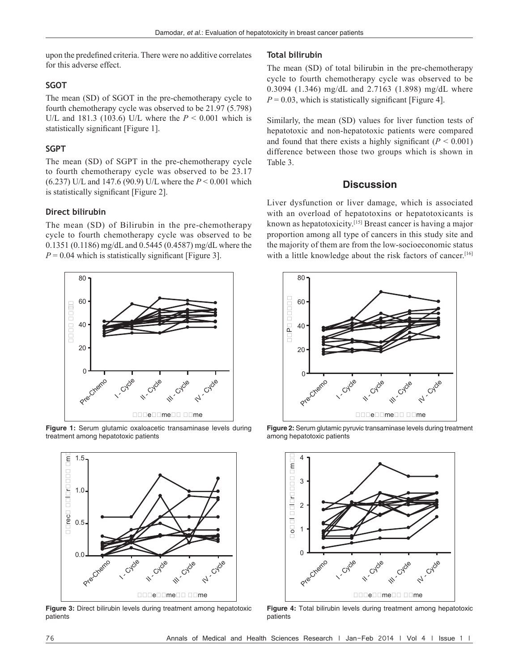upon the predefined criteria. There were no additive correlates for this adverse effect.

#### **SGOT**

The mean (SD) of SGOT in the pre-chemotherapy cycle to fourth chemotherapy cycle was observed to be 21.97 (5.798) U/L and 181.3 (103.6) U/L where the *P* < 0.001 which is statistically significant [Figure 1].

## **SGPT**

The mean (SD) of SGPT in the pre-chemotherapy cycle to fourth chemotherapy cycle was observed to be 23.17 (6.237) U/L and 147.6 (90.9) U/L where the *P* < 0.001 which is statistically significant [Figure 2].

#### **Direct bilirubin**

The mean (SD) of Bilirubin in the pre-chemotherapy cycle to fourth chemotherapy cycle was observed to be 0.1351 (0.1186) mg/dL and 0.5445 (0.4587) mg/dL where the  $P = 0.04$  which is statistically significant [Figure 3].



**Figure 1:** Serum glutamic oxaloacetic transaminase levels during treatment among hepatotoxic patients



**Figure 3:** Direct bilirubin levels during treatment among hepatotoxic patients

#### **Total bilirubin**

The mean (SD) of total bilirubin in the pre-chemotherapy cycle to fourth chemotherapy cycle was observed to be 0.3094 (1.346) mg/dL and 2.7163 (1.898) mg/dL where  $P = 0.03$ , which is statistically significant [Figure 4].

Similarly, the mean (SD) values for liver function tests of hepatotoxic and non-hepatotoxic patients were compared and found that there exists a highly significant  $(P < 0.001)$ difference between those two groups which is shown in Table 3.

# **Discussion**

Liver dysfunction or liver damage, which is associated with an overload of hepatotoxins or hepatotoxicants is known as hepatotoxicity.[15] Breast cancer is having a major proportion among all type of cancers in this study site and the majority of them are from the low-socioeconomic status with a little knowledge about the risk factors of cancer.<sup>[16]</sup>



**Figure 2:** Serum glutamic pyruvic transaminase levels during treatment among hepatotoxic patients



**Figure 4:** Total bilirubin levels during treatment among hepatotoxic patients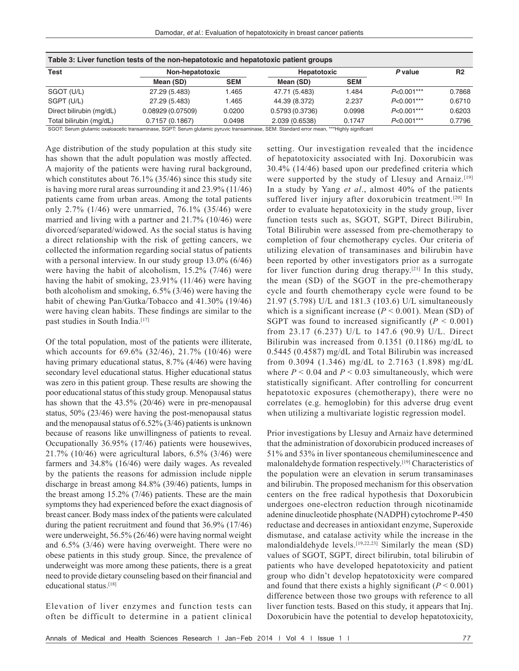| Table 3: Liver function tests of the non-hepatotoxic and hepatotoxic patient groups |                  |            |                |            |              |                |  |  |  |  |
|-------------------------------------------------------------------------------------|------------------|------------|----------------|------------|--------------|----------------|--|--|--|--|
| <b>Test</b>                                                                         | Non-hepatotoxic  |            | Hepatotoxic    |            | P value      | R <sub>2</sub> |  |  |  |  |
|                                                                                     | Mean (SD)        | <b>SEM</b> | Mean (SD)      | <b>SEM</b> |              |                |  |  |  |  |
| SGOT (U/L)                                                                          | 27.29 (5.483)    | 1.465      | 47.71 (5.483)  | 1.484      | $P<0.001***$ | 0.7868         |  |  |  |  |
| SGPT (U/L)                                                                          | 27.29 (5.483)    | 1.465      | 44.39 (8.372)  | 2.237      | $P<0.001***$ | 0.6710         |  |  |  |  |
| Direct bilirubin (mg/dL)                                                            | 0.08929(0.07509) | 0.0200     | 0.5793(0.3736) | 0.0998     | $P<0.001***$ | 0.6203         |  |  |  |  |
| Total bilirubin (mg/dL)                                                             | 0.7157(0.1867)   | 0.0498     | 2.039 (0.6538) | 0.1747     | $P<0.001***$ | 0.7796         |  |  |  |  |

SGOT: Serum glutamic oxaloacetic transaminase, SGPT: Serum glutamic pyruvic transaminase, SEM: Standard error mean, \*\*\*Highly significant

Age distribution of the study population at this study site has shown that the adult population was mostly affected. A majority of the patients were having rural background, which constitutes about 76.1% (35/46) since this study site is having more rural areas surrounding it and 23.9% (11/46) patients came from urban areas. Among the total patients only 2.7% (1/46) were unmarried, 76.1% (35/46) were married and living with a partner and 21.7% (10/46) were divorced/separated/widowed. As the social status is having a direct relationship with the risk of getting cancers, we collected the information regarding social status of patients with a personal interview. In our study group 13.0% (6/46) were having the habit of alcoholism, 15.2% (7/46) were having the habit of smoking, 23.91% (11/46) were having both alcoholism and smoking, 6.5% (3/46) were having the habit of chewing Pan/Gutka/Tobacco and 41.30% (19/46) were having clean habits. These findings are similar to the past studies in South India.<sup>[17]</sup>

Of the total population, most of the patients were illiterate, which accounts for 69.6% (32/46), 21.7% (10/46) were having primary educational status, 8.7% (4/46) were having secondary level educational status. Higher educational status was zero in this patient group. These results are showing the poor educational status of this study group. Menopausal status has shown that the 43.5% (20/46) were in pre-menopausal status, 50% (23/46) were having the post-menopausal status and the menopausal status of 6.52% (3/46) patients is unknown because of reasons like unwillingness of patients to reveal. Occupationally 36.95% (17/46) patients were housewives, 21.7% (10/46) were agricultural labors, 6.5% (3/46) were farmers and 34.8% (16/46) were daily wages. As revealed by the patients the reasons for admission include nipple discharge in breast among 84.8% (39/46) patients, lumps in the breast among 15.2% (7/46) patients. These are the main symptoms they had experienced before the exact diagnosis of breast cancer. Body mass index of the patients were calculated during the patient recruitment and found that 36.9% (17/46) were underweight, 56.5% (26/46) were having normal weight and 6.5% (3/46) were having overweight. There were no obese patients in this study group. Since, the prevalence of underweight was more among these patients, there is a great need to provide dietary counseling based on their financial and educational status.[18]

Elevation of liver enzymes and function tests can often be difficult to determine in a patient clinical setting. Our investigation revealed that the incidence of hepatotoxicity associated with Inj. Doxorubicin was 30.4% (14/46) based upon our predefined criteria which were supported by the study of Llesuy and Arnaiz.<sup>[19]</sup> In a study by Yang *et al*., almost 40% of the patients suffered liver injury after doxorubicin treatment.<sup>[20]</sup> In order to evaluate hepatotoxicity in the study group, liver function tests such as, SGOT, SGPT, Direct Bilirubin, Total Bilirubin were assessed from pre-chemotherapy to completion of four chemotherapy cycles. Our criteria of utilizing elevation of transaminases and bilirubin have been reported by other investigators prior as a surrogate for liver function during drug therapy.<sup>[21]</sup> In this study, the mean (SD) of the SGOT in the pre-chemotherapy cycle and fourth chemotherapy cycle were found to be 21.97 (5.798) U/L and 181.3 (103.6) U/L simultaneously which is a significant increase  $(P < 0.001)$ . Mean (SD) of SGPT was found to increased significantly  $(P < 0.001)$ from 23.17 (6.237) U/L to 147.6 (90.9) U/L. Direct Bilirubin was increased from 0.1351 (0.1186) mg/dL to 0.5445 (0.4587) mg/dL and Total Bilirubin was increased from 0.3094 (1.346) mg/dL to 2.7163 (1.898) mg/dL where  $P < 0.04$  and  $P < 0.03$  simultaneously, which were statistically significant. After controlling for concurrent hepatotoxic exposures (chemotherapy), there were no correlates (e.g. hemoglobin) for this adverse drug event when utilizing a multivariate logistic regression model.

Prior investigations by Llesuy and Arnaiz have determined that the administration of doxorubicin produced increases of 51% and 53% in liver spontaneous chemiluminescence and malonaldehyde formation respectively.[19] Characteristics of the population were an elevation in serum transaminases and bilirubin. The proposed mechanism for this observation centers on the free radical hypothesis that Doxorubicin undergoes one-electron reduction through nicotinamide adenine dinucleotide phosphate (NADPH) cytochrome P-450 reductase and decreases in antioxidant enzyme, Superoxide dismutase, and catalase activity while the increase in the malondialdehyde levels.<sup>[19,22,23]</sup> Similarly the mean (SD) values of SGOT, SGPT, direct bilirubin, total bilirubin of patients who have developed hepatotoxicity and patient group who didn't develop hepatotoxicity were compared and found that there exists a highly significant  $(P < 0.001)$ difference between those two groups with reference to all liver function tests. Based on this study, it appears that Inj. Doxorubicin have the potential to develop hepatotoxicity,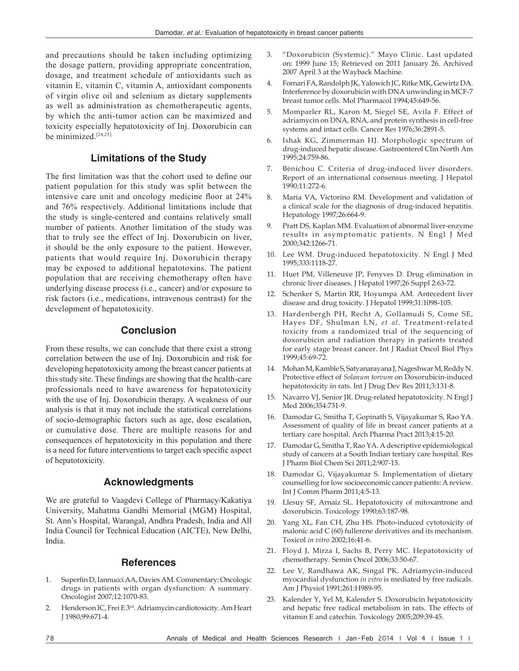and precautions should be taken including optimizing the dosage pattern, providing appropriate concentration, dosage, and treatment schedule of antioxidants such as vitamin E, vitamin C, vitamin A, antioxidant components of virgin olive oil and selenium as dietary supplements as well as administration as chemotherapeutic agents, by which the anti-tumor action can be maximized and toxicity especially hepatotoxicity of Inj. Doxorubicin can be minimized.<sup>[24,25]</sup>

# **Limitations of the Study**

The first limitation was that the cohort used to define our patient population for this study was split between the intensive care unit and oncology medicine floor at 24% and 76% respectively. Additional limitations include that the study is single-centered and contains relatively small number of patients. Another limitation of the study was that to truly see the effect of Inj. Doxorubicin on liver, it should be the only exposure to the patient. However, patients that would require Inj. Doxorubicin therapy may be exposed to additional hepatotoxins. The patient population that are receiving chemotherapy often have underlying disease process (i.e., cancer) and/or exposure to risk factors (i.e., medications, intravenous contrast) for the development of hepatotoxicity.

## **Conclusion**

From these results, we can conclude that there exist a strong correlation between the use of Inj. Doxorubicin and risk for developing hepatotoxicity among the breast cancer patients at this study site. These findings are showing that the health-care professionals need to have awareness for hepatotoxicity with the use of Inj. Doxorubicin therapy. A weakness of our analysis is that it may not include the statistical correlations of socio-demographic factors such as age, dose escalation, or cumulative dose. There are multiple reasons for and consequences of hepatotoxicity in this population and there is a need for future interventions to target each specific aspect of hepatotoxicity.

## **Acknowledgments**

We are grateful to Vaagdevi College of Pharmacy/Kakatiya University, Mahatma Gandhi Memorial (MGM) Hospital, St. Ann's Hospital, Warangal, Andhra Pradesh, India and All India Council for Technical Education (AICTE), New Delhi, India.

## **References**

- 1. SuperfinD, IannucciAA, DaviesAM. Commentary: Oncologic drugs in patients with organ dysfunction: A summary. Oncologist 2007;12:1070‑83.
- Henderson IC, Frei E 3<sup>rd</sup>. Adriamycin cardiotoxicity. Am Heart J 1980;99:671‑4.
- 3. "Doxorubicin (Systemic)." Mayo Clinic. Last updated on: 1999 June 15; Retrieved on 2011 January 26. Archived 2007 April 3 at the Wayback Machine.
- 4. Fornari FA, Randolph JK, Yalowich JC, RitkeMK, GewirtzDA. Interference by doxorubicin with DNA unwinding in MCF‑7 breast tumor cells. Mol Pharmacol 1994;45:649‑56.
- 5. Momparler RL, Karon M, Siegel SE, Avila F. Effect of adriamycin on DNA, RNA, and protein synthesis in cell-free systems and intact cells. Cancer Res 1976;36:2891-5.
- Ishak KG, Zimmerman HJ. Morphologic spectrum of drug‑induced hepatic disease. Gastroenterol Clin North Am 1995;24:759‑86.
- 7. Bénichou C. Criteria of drug-induced liver disorders. Report of an international consensus meeting. J Hepatol 1990;11:272‑6.
- 8. Maria VA, Victorino RM. Development and validation of a clinical scale for the diagnosis of drug-induced hepatitis. Hepatology 1997;26:664‑9.
- Pratt DS, Kaplan MM. Evaluation of abnormal liver-enzyme results in asymptomatic patients. N Engl J Med 2000;342:1266‑71.
- 10. Lee WM. Drug‑induced hepatotoxicity. N Engl J Med 1995;333:1118‑27.
- 11. Huet PM, Villeneuve JP, Fenyves D. Drug elimination in chronic liver diseases. J Hepatol 1997;26 Suppl 2:63‑72.
- 12. Schenker S, Martin RR, Hoyumpa AM. Antecedent liver disease and drug toxicity. J Hepatol 1999;31:1098-105.
- 13. Hardenbergh PH, Recht A, Gollamudi S, Come SE, Hayes DF, Shulman LN, *et al*. Treatment‑related toxicity from a randomized trial of the sequencing of doxorubicin and radiation therapy in patients treated for early stage breast cancer. Int J Radiat Oncol Biol Phys 1999;45:69‑72.
- 14. Mohan M, Kamble S, Satyanarayana J, Nageshwar M, Reddy N. Protective effect of *Solanum torvum* on Doxorubicin‑induced hepatotoxicity in rats. Int J Drug Dev Res 2011;3:131-8.
- 15. Navarro VJ, Senior JR. Drug-related hepatotoxicity. N Engl J Med 2006;354:731‑9.
- 16. Damodar G, Smitha T, Gopinath S, Vijayakumar S, Rao YA. Assessment of quality of life in breast cancer patients at a tertiary care hospital. Arch Pharma Pract 2013;4:15‑20.
- 17. Damodar G, Smitha T, Rao YA. A descriptive epidemiological study of cancers at a South Indian tertiary care hospital. Res J Pharm Biol Chem Sci 2011;2:907‑15.
- 18. Damodar G, Vijayakumar S. Implementation of dietary counselling for low socioeconomic cancer patients: A review. Int J Comm Pharm 2011;4:5‑13.
- 19. Llesuy SF, Arnaiz SL. Hepatotoxicity of mitoxantrone and doxorubicin. Toxicology 1990;63:187‑98.
- 20. Yang XL, Fan CH, Zhu HS. Photo‑induced cytotoxicity of malonic acid C (60) fullerene derivatives and its mechanism. Toxicol *in vitro* 2002;16:41‑6.
- 21. Floyd J, Mirza I, Sachs B, Perry MC. Hepatotoxicity of chemotherapy. Semin Oncol 2006;33:50‑67.
- 22. Lee V, Randhawa AK, Singal PK. Adriamycin-induced myocardial dysfunction *in vitro* is mediated by free radicals. Am J Physiol 1991;261:H989-95.
- 23. Kalender Y, Yel M, Kalender S. Doxorubicin hepatotoxicity and hepatic free radical metabolism in rats. The effects of vitamin E and catechin. Toxicology 2005;209:39-45.